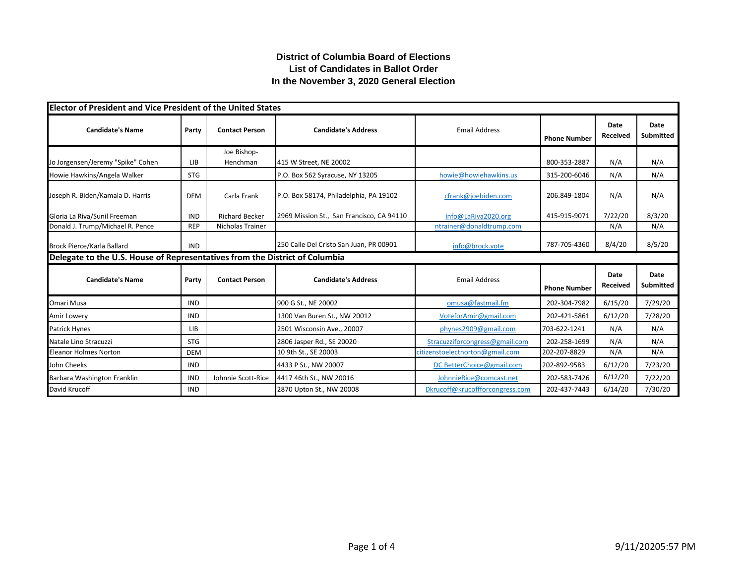## **District of Columbia Board of Elections List of Candidates in Ballot Order In the November 3, 2020 General Election**

| <b>Elector of President and Vice President of the United States</b>         |            |                         |                                           |                                 |                     |                  |                          |
|-----------------------------------------------------------------------------|------------|-------------------------|-------------------------------------------|---------------------------------|---------------------|------------------|--------------------------|
| <b>Candidate's Name</b>                                                     | Party      | <b>Contact Person</b>   | <b>Candidate's Address</b>                | <b>Email Address</b>            | <b>Phone Number</b> | Date<br>Received | Date<br><b>Submitted</b> |
| Jo Jorgensen/Jeremy "Spike" Cohen                                           | LIB        | Joe Bishop-<br>Henchman | 415 W Street, NE 20002                    |                                 | 800-353-2887        | N/A              | N/A                      |
| Howie Hawkins/Angela Walker                                                 | <b>STG</b> |                         | P.O. Box 562 Syracuse, NY 13205           | howie@howiehawkins.us           | 315-200-6046        | N/A              | N/A                      |
| Joseph R. Biden/Kamala D. Harris                                            | <b>DEM</b> | Carla Frank             | P.O. Box 58174, Philadelphia, PA 19102    | cfrank@joebiden.com             | 206.849-1804        | N/A              | N/A                      |
| Gloria La Riva/Sunil Freeman                                                | <b>IND</b> | <b>Richard Becker</b>   | 2969 Mission St., San Francisco, CA 94110 | info@LaRiva2020.org             | 415-915-9071        | 7/22/20          | 8/3/20                   |
| Donald J. Trump/Michael R. Pence                                            | <b>REP</b> | <b>Nicholas Trainer</b> |                                           | ntrainer@donaldtrump.com        |                     | N/A              | N/A                      |
| Brock Pierce/Karla Ballard                                                  | <b>IND</b> |                         | 250 Calle Del Cristo San Juan, PR 00901   | info@brock.vote                 | 787-705-4360        | 8/4/20           | 8/5/20                   |
| Delegate to the U.S. House of Representatives from the District of Columbia |            |                         |                                           |                                 |                     |                  |                          |
| <b>Candidate's Name</b>                                                     | Party      | <b>Contact Person</b>   | <b>Candidate's Address</b>                | <b>Email Address</b>            | <b>Phone Number</b> | Date<br>Received | <b>Date</b><br>Submitted |
| Omari Musa                                                                  | <b>IND</b> |                         | 900 G St., NE 20002                       | omusa@fastmail.fm               | 202-304-7982        | 6/15/20          | 7/29/20                  |
| <b>Amir Lowery</b>                                                          | <b>IND</b> |                         | 1300 Van Buren St., NW 20012              | VoteforAmir@gmail.com           | 202-421-5861        | 6/12/20          | 7/28/20                  |
| Patrick Hynes                                                               | LIB        |                         | 2501 Wisconsin Ave., 20007                | phynes2909@gmail.com            | 703-622-1241        | N/A              | N/A                      |
| Natale Lino Stracuzzi                                                       | <b>STG</b> |                         | 2806 Jasper Rd., SE 20020                 | Stracuzziforcongress@gmail.com  | 202-258-1699        | N/A              | N/A                      |
| <b>Eleanor Holmes Norton</b>                                                | <b>DEM</b> |                         | 10 9th St., SE 20003                      | citizenstoelectnorton@gmail.com | 202-207-8829        | N/A              | N/A                      |
| John Cheeks                                                                 | <b>IND</b> |                         | 4433 P St., NW 20007                      | DC BetterChoice@gmail.com       | 202-892-9583        | 6/12/20          | 7/23/20                  |
| Barbara Washington Franklin                                                 | <b>IND</b> | Johnnie Scott-Rice      | 4417 46th St., NW 20016                   | JohnnieRice@comcast.net         | 202-583-7426        | 6/12/20          | 7/22/20                  |
| David Krucoff                                                               | <b>IND</b> |                         | 2870 Upton St., NW 20008                  | Dkrucoff@krucoffforcongress.com | 202-437-7443        | 6/14/20          | 7/30/20                  |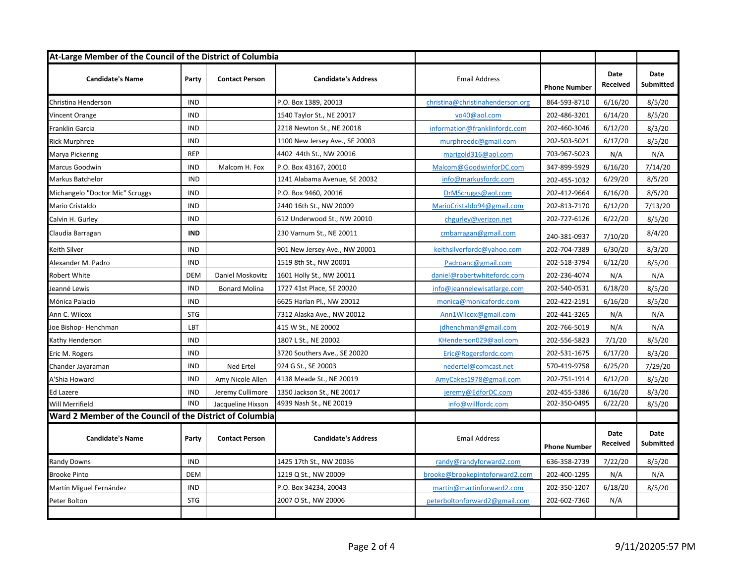| At-Large Member of the Council of the District of Columbia |            |                       |                                |                                  |                     |                                |                                 |
|------------------------------------------------------------|------------|-----------------------|--------------------------------|----------------------------------|---------------------|--------------------------------|---------------------------------|
| <b>Candidate's Name</b>                                    | Party      | <b>Contact Person</b> | <b>Candidate's Address</b>     | <b>Email Address</b>             | <b>Phone Number</b> | Date<br>Received               | Date<br>Submitted               |
| Christina Henderson                                        | <b>IND</b> |                       | P.O. Box 1389, 20013           | christina@christinahenderson.org | 864-593-8710        | 6/16/20                        | 8/5/20                          |
| Vincent Orange                                             | <b>IND</b> |                       | 1540 Taylor St., NE 20017      | vo40@aol.com                     | 202-486-3201        | 6/14/20                        | 8/5/20                          |
| Franklin Garcia                                            | <b>IND</b> |                       | 2218 Newton St., NE 20018      | information@franklinfordc.com    | 202-460-3046        | 6/12/20                        | 8/3/20                          |
| <b>Rick Murphree</b>                                       | <b>IND</b> |                       | 1100 New Jersey Ave., SE 20003 | murphreedc@gmail.com             | 202-503-5021        | 6/17/20                        | 8/5/20                          |
| Marya Pickering                                            | <b>REP</b> |                       | 4402 44th St., NW 20016        | marigold316@aol.com              | 703-967-5023        | N/A                            | N/A                             |
| Marcus Goodwin                                             | <b>IND</b> | Malcom H. Fox         | P.O. Box 43167, 20010          | Malcom@GoodwinforDC.com          | 347-899-5929        | 6/16/20                        | 7/14/20                         |
| Markus Batchelor                                           | <b>IND</b> |                       | 1241 Alabama Avenue, SE 20032  | info@markusfordc.com             | 202-455-1032        | 6/29/20                        | 8/5/20                          |
| Michangelo "Doctor Mic" Scruggs                            | <b>IND</b> |                       | P.O. Box 9460, 20016           | DrMScruggs@aol.com               | 202-412-9664        | 6/16/20                        | 8/5/20                          |
| Mario Cristaldo                                            | <b>IND</b> |                       | 2440 16th St., NW 20009        | MarioCristaldo94@gmail.com       | 202-813-7170        | 6/12/20                        | 7/13/20                         |
| Calvin H. Gurley                                           | <b>IND</b> |                       | 612 Underwood St., NW 20010    | chgurley@verizon.net             | 202-727-6126        | 6/22/20                        | 8/5/20                          |
| Claudia Barragan                                           | <b>IND</b> |                       | 230 Varnum St., NE 20011       | cmbarragan@gmail.com             | 240-381-0937        | 7/10/20                        | 8/4/20                          |
| Keith Silver                                               | <b>IND</b> |                       | 901 New Jersey Ave., NW 20001  | keithsilverfordc@vahoo.com       | 202-704-7389        | 6/30/20                        | 8/3/20                          |
| Alexander M. Padro                                         | <b>IND</b> |                       | 1519 8th St., NW 20001         | Padroanc@gmail.com               | 202-518-3794        | 6/12/20                        | 8/5/20                          |
| Robert White                                               | <b>DEM</b> | Daniel Moskovitz      | 1601 Holly St., NW 20011       | daniel@robertwhitefordc.com      | 202-236-4074        | N/A                            | N/A                             |
| Jeanné Lewis                                               | <b>IND</b> | <b>Bonard Molina</b>  | 1727 41st Place, SE 20020      | info@jeannelewisatlarge.com      | 202-540-0531        | 6/18/20                        | 8/5/20                          |
| Mónica Palacio                                             | <b>IND</b> |                       | 6625 Harlan Pl., NW 20012      | monica@monicafordc.com           | 202-422-2191        | 6/16/20                        | 8/5/20                          |
| Ann C. Wilcox                                              | <b>STG</b> |                       | 7312 Alaska Ave., NW 20012     | Ann1Wilcox@gmail.com             | 202-441-3265        | N/A                            | N/A                             |
| Joe Bishop-Henchman                                        | LBT        |                       | 415 W St., NE 20002            | jdhenchman@gmail.com             | 202-766-5019        | N/A                            | N/A                             |
| Kathy Henderson                                            | <b>IND</b> |                       | 1807 L St., NE 20002           | KHenderson029@aol.com            | 202-556-5823        | 7/1/20                         | 8/5/20                          |
| Eric M. Rogers                                             | <b>IND</b> |                       | 3720 Southers Ave., SE 20020   | Eric@Rogersfordc.com             | 202-531-1675        | 6/17/20                        | 8/3/20                          |
| Chander Jayaraman                                          | <b>IND</b> | Ned Ertel             | 924 G St., SE 20003            | nedertel@comcast.net             | 570-419-9758        | 6/25/20                        | 7/29/20                         |
| A'Shia Howard                                              | <b>IND</b> | Amy Nicole Allen      | 4138 Meade St., NE 20019       | AmyCakes1978@gmail.com           | 202-751-1914        | 6/12/20                        | 8/5/20                          |
| Ed Lazere                                                  | <b>IND</b> | Jeremy Cullimore      | 1350 Jackson St., NE 20017     | jeremy@EdforDC.com               | 202-455-5386        | 6/16/20                        | 8/3/20                          |
| Will Merrifield                                            | <b>IND</b> | Jacqueline Hixson     | 4939 Nash St., NE 20019        | info@willfordc.com               | 202-350-0495        | 6/22/20                        | 8/5/20                          |
| Ward 2 Member of the Council of the District of Columbia   |            |                       |                                |                                  |                     |                                |                                 |
| <b>Candidate's Name</b>                                    | Party      | <b>Contact Person</b> | <b>Candidate's Address</b>     | <b>Email Address</b>             | <b>Phone Number</b> | <b>Date</b><br><b>Received</b> | <b>Date</b><br><b>Submitted</b> |
| <b>Randy Downs</b>                                         | <b>IND</b> |                       | 1425 17th St., NW 20036        | randy@randyforward2.com          | 636-358-2739        | 7/22/20                        | 8/5/20                          |
| <b>Brooke Pinto</b>                                        | <b>DEM</b> |                       | 1219 Q St., NW 20009           | brooke@brookepintoforward2.com   | 202-400-1295        | N/A                            | N/A                             |
| Martín Miguel Fernández                                    | <b>IND</b> |                       | P.O. Box 34234, 20043          | martin@martinforward2.com        | 202-350-1207        | 6/18/20                        | 8/5/20                          |
| Peter Bolton                                               | <b>STG</b> |                       | 2007 O St., NW 20006           | peterboltonforward2@gmail.com    | 202-602-7360        | N/A                            |                                 |
|                                                            |            |                       |                                |                                  |                     |                                |                                 |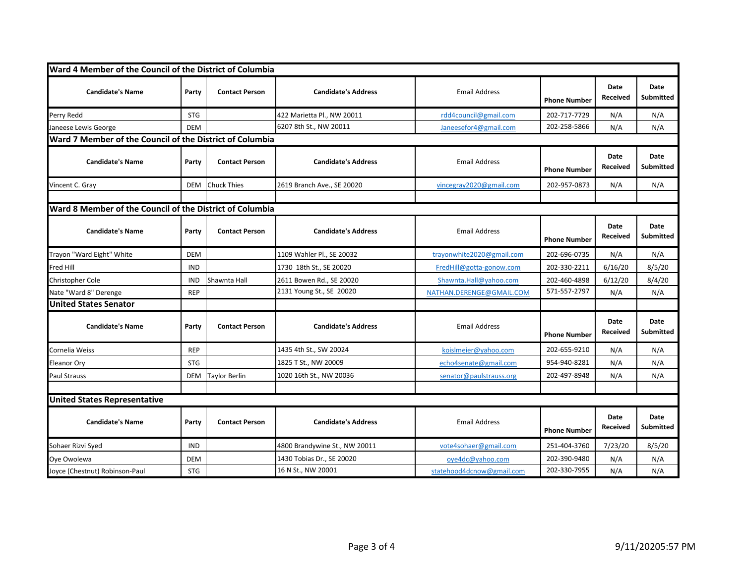| Ward 4 Member of the Council of the District of Columbia |            |                       |                               |                           |                     |                         |                                 |
|----------------------------------------------------------|------------|-----------------------|-------------------------------|---------------------------|---------------------|-------------------------|---------------------------------|
| <b>Candidate's Name</b>                                  | Party      | <b>Contact Person</b> | <b>Candidate's Address</b>    | <b>Email Address</b>      | <b>Phone Number</b> | Date<br>Received        | <b>Date</b><br><b>Submitted</b> |
| Perry Redd                                               | <b>STG</b> |                       | 422 Marietta Pl., NW 20011    | rdd4council@gmail.com     | 202-717-7729        | N/A                     | N/A                             |
| Janeese Lewis George                                     | <b>DEM</b> |                       | 6207 8th St., NW 20011        | Janeesefor4@gmail.com     | 202-258-5866        | N/A                     | N/A                             |
| Ward 7 Member of the Council of the District of Columbia |            |                       |                               |                           |                     |                         |                                 |
| <b>Candidate's Name</b>                                  | Party      | <b>Contact Person</b> | <b>Candidate's Address</b>    | <b>Email Address</b>      | <b>Phone Number</b> | Date<br><b>Received</b> | <b>Date</b><br>Submitted        |
| Vincent C. Gray                                          | <b>DEM</b> | <b>Chuck Thies</b>    | 2619 Branch Ave., SE 20020    | vincegray2020@gmail.com   | 202-957-0873        | N/A                     | N/A                             |
|                                                          |            |                       |                               |                           |                     |                         |                                 |
| Ward 8 Member of the Council of the District of Columbia |            |                       |                               |                           |                     |                         |                                 |
| <b>Candidate's Name</b>                                  | Party      | <b>Contact Person</b> | <b>Candidate's Address</b>    | <b>Email Address</b>      | <b>Phone Number</b> | Date<br>Received        | Date<br>Submitted               |
| Trayon "Ward Eight" White                                | <b>DEM</b> |                       | 1109 Wahler Pl., SE 20032     | trayonwhite2020@gmail.com | 202-696-0735        | N/A                     | N/A                             |
| Fred Hill                                                | <b>IND</b> |                       | 1730 18th St., SE 20020       | FredHill@gotta-gonow.com  | 202-330-2211        | 6/16/20                 | 8/5/20                          |
| <b>Christopher Cole</b>                                  | <b>IND</b> | Shawnta Hall          | 2611 Bowen Rd., SE 20020      | Shawnta.Hall@yahoo.com    | 202-460-4898        | 6/12/20                 | 8/4/20                          |
| Nate "Ward 8" Derenge                                    | <b>REP</b> |                       | 2131 Young St., SE 20020      | NATHAN.DERENGE@GMAIL.COM  | 571-557-2797        | N/A                     | N/A                             |
| <b>United States Senator</b>                             |            |                       |                               |                           |                     |                         |                                 |
| <b>Candidate's Name</b>                                  | Party      | <b>Contact Person</b> | <b>Candidate's Address</b>    | <b>Email Address</b>      | <b>Phone Number</b> | Date<br>Received        | <b>Date</b><br>Submitted        |
| Cornelia Weiss                                           | <b>REP</b> |                       | 1435 4th St., SW 20024        | koislmeier@yahoo.com      | 202-655-9210        | N/A                     | N/A                             |
| <b>Eleanor Ory</b>                                       | <b>STG</b> |                       | 1825 T St., NW 20009          | echo4senate@gmail.com     | 954-940-8281        | N/A                     | N/A                             |
| <b>Paul Strauss</b>                                      | DEM        | Taylor Berlin         | 1020 16th St., NW 20036       | senator@paulstrauss.org   | 202-497-8948        | N/A                     | N/A                             |
|                                                          |            |                       |                               |                           |                     |                         |                                 |
| <b>United States Representative</b>                      |            |                       |                               |                           |                     |                         |                                 |
| <b>Candidate's Name</b>                                  | Party      | <b>Contact Person</b> | <b>Candidate's Address</b>    | <b>Email Address</b>      | <b>Phone Number</b> | Date<br><b>Received</b> | <b>Date</b><br><b>Submitted</b> |
| Sohaer Rizvi Syed                                        | IND        |                       | 4800 Brandywine St., NW 20011 | vote4sohaer@gmail.com     | 251-404-3760        | 7/23/20                 | 8/5/20                          |
| Oye Owolewa                                              | <b>DEM</b> |                       | 1430 Tobias Dr., SE 20020     | oye4dc@yahoo.com          | 202-390-9480        | N/A                     | N/A                             |
| Joyce (Chestnut) Robinson-Paul                           | <b>STG</b> |                       | 16 N St., NW 20001            | statehood4dcnow@gmail.com | 202-330-7955        | N/A                     | N/A                             |